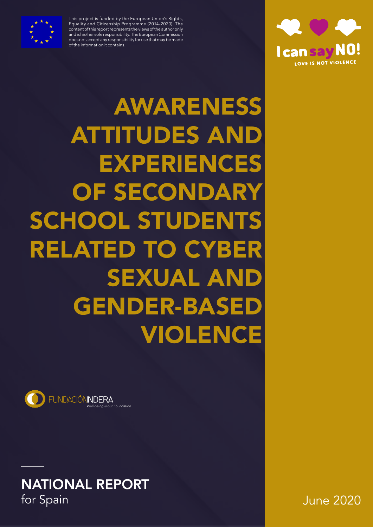

This project is funded by the European Union's Rights, Equality and Citizenship Programme (2014-2020). The content of this report represents the views of the author only and is his/her sole responsibility. The European Commission does not accept any responsibility for use that may be made of the information it contains.



 AWARENESS **ATTITUDES AN** EXPERIENCES OF SECONDARY SCHOOL STUDEN RELATED TO CYBER **SEXUAL AN GENDER-BASED** VIOLENCE



**NATIONAL REPORT**<br>for Spain

June 2020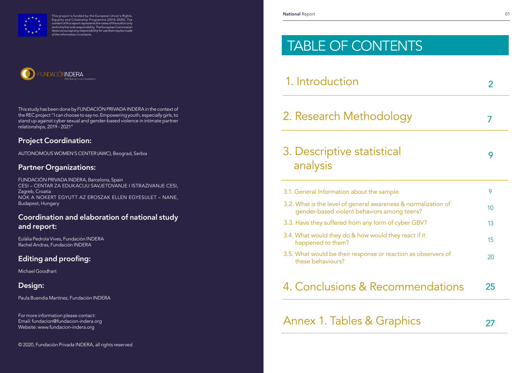# TABLE OF CONTENTS

1. Introduction

# 2. Research Methodolo

# 3. Descriptive statistical analysis

This study has been done by FUNDACIÓN PRIVADA INDERA in the context of the REC project "I can choose to say no. Empowering youth, especially girls, to stand up against cyber sexual and gender-based violence in intimate partner relationships, 2019 - 2021"

# Project Coordination:

AUTONOMOUS WOMEN'S CENTER (AWC), Beograd, Serbia

# Partner Organizations:

FUNDACIÓN PRIVADA INDERA, Barcelona, Spain CESI – CENTAR ZA EDUKACIJU SAVJETOVANJE I ISTRAZIVANJE CESI, Zagreb, Croatia NOK A NOKERT EGYUTT AZ EROSZAK ELLEN EGYESULET – NANE, Budapest, Hungary

# Coordination and elaboration of national study and report:

Eulàlia Pedrola Vives, Fundación INDERA Rachel Andras, Fundación INDERA

# Editing and proofing:

Michael Goodhart

# Design:

Paula Buendia Martínez, Fundación INDERA

|                                | 2  |
|--------------------------------|----|
| ygy                            | 7  |
|                                | 9  |
|                                | 9  |
| & normalization of<br>g teens? | 10 |
| yber GBV?                      | 13 |
| y react if it                  | 15 |
| tion as observers of           | 20 |
| nmendations                    | 25 |
| ohics                          | 27 |
|                                |    |

For more information please contact: Email: fundacion@fundacion-indera.org Website: www.fundacion-indera.org

© 2020, Fundación Privada INDERA, all rights reserved



This project is funded by the European Union's Rights, Equality and Citizenship Programme (2014-2020). The content of this report represents the views of the author only and is his/her sole responsibility. The European Commission does not accept any responsibility for use that may be made of the information it contains.



- 3.1. General Information about the sample
- 3.2. What is the level of general awareness gender-based violent behaviors amon
- 3.3. Have they suffered from any form of cy
- 3.4. What would they do & how would they happened to them?
- 3.5. What would be their response or react these behaviours?

# 4. Conclusions & Recor

Annex 1. Tables & Graphy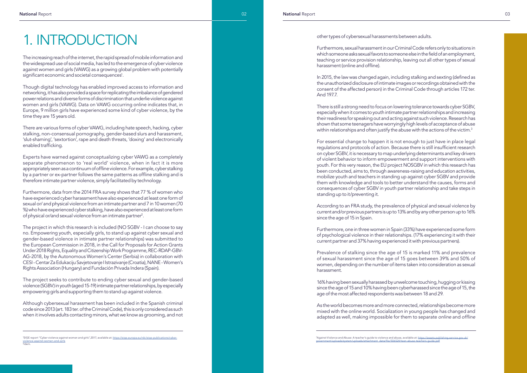Though digital technology has enabled improved access to information and networking, it has also provided a space for replicating the imbalance of gendered power relations and diverse forms of discrimination that underlie violence against women and girls (VAWG). Data on VAWG occurring online indicates that, in Europe, 9 million girls have experienced some kind of cyber violence, by the time they are 15 years old.

Furthermore, data from the 2014 FRA survey shows that 77 % of women who have experienced cyber harassment have also experienced at least one form of sexual or/ and physical violence from an intimate partner and 7 in 10 women (70 %) who have experienced cyber stalking, have also experienced at least one form of physical or/and sexual violence from an intimate partner<sup>2</sup>.

There are various forms of cyber VAWG, including hate speech, hacking, cyber stalking, non-consensual pornography, gender-based slurs and harassment, 'slut-shaming', 'sextortion', rape and death threats, 'doxing' and electronically enabled trafficking.

Experts have warned against conceptualizing cyber VAWG as a completely separate phenomenon to 'real world' violence, when in fact it is more appropriately seen as a continuum of offline violence. For example, cyber stalking by a partner or ex-partner follows the same patterns as offline stalking and is therefore intimate partner violence, simply facilitated by technology.

There is still a strong need to focus on lowering tolerance towards cyber SGBV, especially when it comes to youth intimate partner relationships and increasing their readiness for speaking out and acting against such violence. Research has shown that some teenagers have worryingly high levels of acceptance of abuse within relationships and often justify the abuse with the actions of the victim. $^3$ 

The project in which this research is included (NO SGBV - I can choose to say no. Empowering youth, especially girls, to stand up against cyber sexual and gender-based violence in intimate partner relationships) was submitted to the European Commission in 2018, in the Call for Proposals for Action Grants Under 2018 Rights, Equality and Citizenship Work Programme, REC-RDAP-GBV-AG-2018, by the Autonomous Women's Center (Serbia) in collaboration with CESI - Centar Za Edukaciju Savjetovanje I Istrazivanje (Croatia), NANE - Women's Rights Association (Hungary) and Fundación Privada Indera (Spain).

The project seeks to contribute to ending cyber sexual and gender-based violence (SGBV) in youth (aged 15-19) intimate partner relationships, by especially empowering girls and supporting them to stand up against violence.

Although cybersexual harassment has been included in the Spanish criminal code since 2013 (art. 183 ter. of the Criminal Code), this is only considered as such when it involves adults contacting minors, what we know as grooming, and not

# 1. INTRODUCTION

The increasing reach of the internet, the rapid spread of mobile information and the widespread use of social media, has led to the emergence of cyber violence against women and girls (VAWG) as a growing global problem with potentially significant economic and societal consequences<sup>1</sup>.

#### other types of cybersexual harassments between adults.

Furthermore, sexual harassment in our Criminal Code refers only to situations in which someone asks sexual favors to someone else in the field of an employment, teaching or service provision relationship, leaving out all other types of sexual harassment (online and offline).

In 2015, the law was changed again, including stalking and sexting (defined as the unauthorized disclosure of intimate images or recordings obtained with the consent of the affected person) in the Criminal Code through articles 172 ter. And 197.7.

For essential change to happen it is not enough to just have in place legal regulations and protocols of action. Because there is still insufficient research on cyber SGBV, it is necessary to map underlying determinants and key drivers of violent behavior to inform empowerment and support interventions with youth. For this very reason, the EU project NOSGBV in which this research has been conducted, aims to, through awareness-raising and education activities, mobilize youth and teachers in standing up against cyber SGBV and provide them with knowledge and tools to better understand the causes, forms and consequences of cyber SGBV in youth partner relationship and take steps in standing up to it/preventing it.

According to an FRA study, the prevalence of physical and sexual violence by current and/or previous partners is up to 13% and by any other person up to 16% since the age of 15 in Spain.

Furthermore, one in three women in Spain (33%) have experienced some form of psychological violence in their relationships. (17% experiencing it with their current partner and 37% having experienced it with previous partners).

Prevalence of stalking since the age of 15 is marked 11% and prevalence of sexual harassment since the age of 15 goes between 39% and 50% of women, depending on the number of items taken into consideration as sexual harassment.

16% having been sexually harassed by unwelcome touching, hugging or kissing since the age of 15 and 10% having been cyberharassed since the age of 15, the age of the most affected respondents was between 18 and 29.

As the world becomes more and more connected, relationships become more mixed with the online world. Socialization in young people has changed and adapted as well, making impossible for them to separate *online* and *offline*

<sup>&</sup>lt;sup>1</sup>EIGE report "Cyber violence against women and girls",2017, available at: https://eige.europa.eu/rdc/eige-publications/cyber-<u>violence-against-women-and-girls</u><br><sup>2</sup>ldem.

<sup>&</sup>lt;sup>3</sup>Against Violence and Abuse: A teacher's guide to violence and abuse, available at: <u>https://assets.publishing.service.gov.uk/</u><br>government/uploads/system/uploads/attachment\_data/file/506524/teen-abuse-teachers-guide.pdf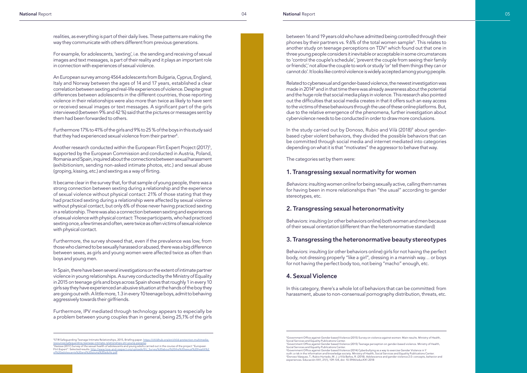realities, as everything is part of their daily lives. These patterns are making the way they communicate with others different from previous generations.

For example, for adolescents, 'sexting', i.e. the sending and receiving of sexual images and text messages, is part of their reality and it plays an important role in connection with experiences of sexual violence.

Furthermore 17% to 41% of the girls and 9% to 25 % of the boys in this study said that they had experienced sexual violence from their partner $\hbox{}^4.$ 

An European survey among 4564 adolescents from Bulgaria, Cyprus, England, Italy and Norway between the ages of 14 and 17 years, established a clear correlation between sexting and real-life experiences of violence. Despite great differences between adolescents in the different countries, those reporting violence in their relationships were also more than twice as likely to have sent or received sexual images or text messages. A significant part of the girls interviewed (between 9% and 42 %) said that the pictures or messages sent by them had been forwarded to others.

Another research conducted within the European Flirt Expert Project (2017) 5 , supported by the European Commission and conducted in Austria, Poland, Romania and Spain, inquired about the connections between sexual harassment (exhibitionism, sending non-asked intimate photos, etc.) and sexual abuse (groping, kissing, etc.) and sexting as a way of flirting.

It became clear in the survey that, for that sample of young people, there was a strong connection between sexting during a relationship and the experience of sexual violence without physical contact: 21% of those stating that they had practiced sexting during a relationship were affected by sexual violence without physical contact, but only 6% of those never having practiced sexting in a relationship. There was also a connection between sexting and experiences of sexual violence with physical contact: Those participants, who had practiced sexting once, a few times and often, were twice as often victims of sexual violence with physical contact.

Furthermore, the survey showed that, even if the prevalence was low, from those who claimed to be sexually harassed or abused, there was a big difference between sexes, as girls and young women were affected twice as often than boys and young men.

In Spain, there have been several investigations on the extent of intimate partner violence in young relationships. A survey conducted by the Ministry of Equality in 2015 on teenage girls and boys across Spain shows that roughly 1 in every 10 girls say they have experienced an abusive situation at the hands of the boy they are going out with. A little more, 1.3 in every 10 teenage boys, admit to behaving aggressively towards their girlfriends.

Furthermore, IPV mediated through technology appears to especially be a problem between young couples than in general, being 25,1% of the girls 4 between 16 and 19 years old who have admitted being controlled through their phones by their partners vs. 9.6% of the total women sample 6 . This relates to another study on teenage perceptions on TDV 7 which found out that one in three young people considers it inevitable or acceptable in some circumstances to 'control the couple's schedule', 'prevent the couple from seeing their family or friends',' not allow the couple to work or study 'or' tell them things they can or cannot do'. It looks like control violence is widely accepted among young people.

Related to cybersexual and gender-based violence, the newest investigation was made in 2014<sup>8</sup> and in that time there was already awareness about the potential and the huge role that social media plays in violence. This research also pointed out the difficulties that social media creates in that it offers such an easy access to the victims of these behaviours through the use of these online platforms. But, due to the relative emergence of the phenomena, further investigation about cyberviolence needs to be conducted in order to draw more conclusions.

In the study carried out by Donoso, Rubio and Vilà (2018) 9 about genderbased cyber violent behaviors, they divided the possible behaviors that can be committed through social media and internet mediated into categories depending on what it is that "motivates" the aggressor to behave that way.

The categories set by them were:

### 1. Transgressing sexual normativity for women

*Behaviors*: insulting women online for being sexually active, calling them names for having been in more relationships than "the usual" according to gender stereotypes, etc.

# 2. Transgressing sexual heteronormativity

Behaviors: insulting (or other behaviors online) both women and men because of their sexual orientation (different than the heteronormative standard)

## 3. Transgressing the heteronormative beauty stereotypes

Behaviors: insulting (or other behaviors online) girls for not having the perfect body, not dressing properly "like a girl", dressing in a mannish way… or boys for not having the perfect body too, not being "macho" enough, etc.

### 4. Sexual Violence

In this category, there's a whole lot of behaviors that can be committed: from harassment, abuse to non-consensual pornography distribution, threats, etc.

<sup>&</sup>lt;sup>4</sup>STIR Safeguarding Teenage Intimate Relationships, 2015, Briefing paper. https://childhub.org/en/child-protection-multimediaresources/safeguarding-teenage-intimate-relationships-stir-young-peoples<br><sup>5</sup>Hazissa (2017) Survey of the sexual health of adolescents and young adults carried out in the course of the project "European Flirt Expert". Selected results. http://www.love-and-respect.org/uploads/EU\_Survey%20about%20the of%20adolescents%20and%20young%20adults.pdf

<sup>6</sup>Government Office against Gender based Violence (2015) Survey on violence against women: Main results. Ministry of Health, Social Services and Equality Publications Center. 7 Government Office against Gender based Violence (2015) Teenage perception on gender-based violence. Ministry of Health,

Social Services and Equality Publications Center.

<sup>8</sup>Government Office against Gender based Violence (2014) Cyberbullying as a way to exercise Gender Violence in Y outh: a risk in the information and knowledge society. Ministry of Health, Social Services and Equality Publications Center.<br>°Donoso Vázquez, T.; Rubio Hurtado, M. J. y Vilà Baños, R. (2018). Adolescence and gender violenc experiences. Educación XX1, 21(1), 109-134, doi: 10.5944/educXX1.2018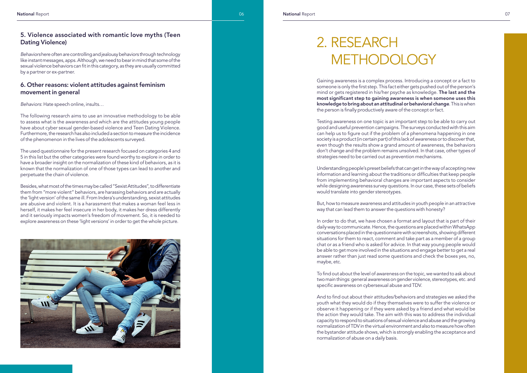# 5. Violence associated with romantic love myths (Teen Dating Violence)

*Behaviors* here often are controlling and jealousy behaviors through technology like instant messages, apps. Although, we need to bear in mind that some of the sexual violence behaviors can fit in this category, as they are usually committed by a partner or ex-partner.

## 6. Other reasons: violent attitudes against feminism movement in general

*Behaviors*: Hate speech online, insults…

The following research aims to use an innovative methodology to be able to assess what is the awareness and which are the attitudes young people have about cyber sexual gender-based violence and Teen Dating Violence. Furthermore, the research has also included a section to measure the incidence of the phenomenon in the lives of the adolescents surveyed.

The used questionnaire for the present research focused on categories 4 and 5 in this list but the other categories were found worthy to explore in order to have a broader insight on the normalization of these kind of behaviors, as it is known that the normalization of one of those types can lead to another and perpetuate the chain of violence.

Besides, what most of the times may be called "Sexist Attitudes", to differentiate them from "more violent" behaviors, are harassing behaviors and are actually the 'light version' of the same ill. From Indera's understanding, sexist attitudes are abusive and violent. It is a harassment that makes a woman feel less in herself, it makes her feel insecure in her body, it makes her dress differently and it seriously impacts women's freedom of movement. So, it is needed to explore awareness on these 'light versions' in order to get the whole picture.



Gaining awareness is a complex process. Introducing a concept or a fact to someone is only the first step. This fact either gets pushed out of the person's mind or gets registered in his/her psyche as knowledge. The last and the most significant step to gaining awareness is when someone uses this knowledge to bring about an attitudinal or behavioral change. This is when the person is finally productively aware of the concept or fact.

Testing awareness on one topic is an important step to be able to carry out good and useful prevention campaigns. The surveys conducted with this aim can help us to figure out if the problem of a phenomena happening in one society is a product (in certain part) of this lack of awareness or to discover that, even though the results show a grand amount of awareness, the behaviors don't change and the problem remains unsolved. In that case, other types of strategies need to be carried out as prevention mechanisms.

Understanding people's preset beliefs that can get in the way of accepting new information and learning about the traditions or difficulties that keep people from implementing behavioral changes are important aspects to consider while designing awareness survey questions. In our case, these sets of beliefs would translate into gender stereotypes.

But, how to measure awareness and attitudes in youth people in an attractive way that can lead them to answer the questions with honesty?

In order to do that, we have chosen a format and layout that is part of their daily way to communicate. Hence, the questions are placed within WhatsApp conversations placed in the questionnaire with screenshots, showing different situations for them to react, comment and take part as a member of a group chat or as a friend who is asked for advice. In that way young people would be able to get more involved in the situations and engage better to get a real answer rather than just read some questions and check the boxes yes, no, maybe, etc.

To find out about the level of awareness on the topic, we wanted to ask about two main things: general awareness on gender violence, stereotypes, etc. and specific awareness on cybersexual abuse and TDV.

And to find out about their attitudes/behaviors and strategies we asked the youth what they would do if they themselves were to suffer the violence or observe it happening or if they were asked by a friend and what would be the action they would take. The aim with this was to address the individual capacity to respond to situations of sexual violence and abuse and the growing normalization of TDV in the virtual environment and also to measure how often the bystander attitude shows, which is strongly enabling the acceptance and normalization of abuse on a daily basis.

# 2. RESEARCH METHODOLOGY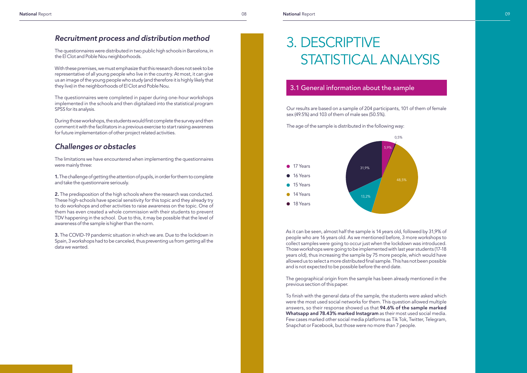Our results are based on a sample of 204 participants, 101 of them of female sex (49.5%) and 103 of them of male sex (50.5%).

The age of the sample is distributed in the following way:

# *Recruitment process and distribution method*

The questionnaires were distributed in two public high schools in Barcelona, in the El Clot and Poble Nou neighborhoods.

With these premises, we must emphasize that this research does not seek to be representative of all young people who live in the country. At most, it can give us an image of the young people who study (and therefore it is highly likely that they live) in the neighborhoods of El Clot and Poble Nou.

The questionnaires were completed in paper during one-hour workshops implemented in the schools and then digitalized into the statistical program SPSS for its analysis.

2. The predisposition of the high schools where the research was conducted. These high-schools have special sensitivity for this topic and they already try to do workshops and other activities to raise awareness on the topic. One of them has even created a whole commission with their students to prevent TDV happening in the school. Due to this, it may be possible that the level of awareness of the sample is higher than the norm.

During those workshops, the students would first complete the survey and then comment it with the facilitators in a previous exercise to start raising awareness for future implementation of other project related activities.

# *Challenges or obstacles*

The limitations we have encountered when implementing the questionnaires were mainly three:

1. The challenge of getting the attention of pupils, in order for them to complete and take the questionnaire seriously.

3. The COVID-19 pandemic situation in which we are. Due to the lockdown in Spain, 3 workshops had to be canceled, thus preventing us from getting all the data we wanted.

# 3. DESCRIPTIVE STATISTICAL ANALYSIS

# 3.1 General information about the sample



As it can be seen, almost half the sample is 14 years old, followed by 31,9% of people who are 16 years old. As we mentioned before, 3 more workshops to collect samples were going to occur just when the lockdown was introduced. Those workshops were going to be implemented with last year students (17-18 years old), thus increasing the sample by 75 more people, which would have allowed us to select a more distributed final sample. This has not been possible and is not expected to be possible before the end date.

The geographical origin from the sample has been already mentioned in the previous section of this paper.

To finish with the general data of the sample, the students were asked which were the most used social networks for them. This question allowed multiple answers, so their response showed us that 94.6% of the sample marked Whatsapp and 78.43% marked Instagram as their most used social media. Few cases marked other social media platforms as Tik Tok, Twitter, Telegram, Snapchat or Facebook, but those were no more than 7 people.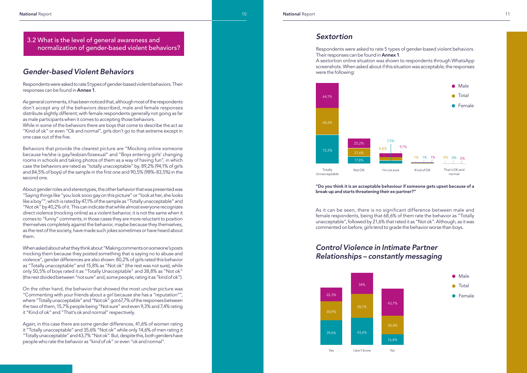# *Gender-based Violent Behaviors*

Respondents were asked to rate 5 types of gender-based violent behaviors. Their responses can be found in Annex 1.

As general comments, it has been noticed that, although most of the respondents don't accept any of the behaviors described, male and female responses distribute slightly different; with female respondents generally not going as far as male participants when it comes to accepting those behaviors.

While in some of the behaviors there are boys that come to describe the act as "Kind of ok" or even "Ok and normal", girls don't go to that extreme except in one case out of the five.

Behaviors that provide the clearest picture are "Mocking online someone because he/she is gay/lesbian/bisexual" and "Boys entering girls' changing rooms in schools and taking photos of them as a way of having fun", in which case the behaviors are rated as "totally unacceptable" by, 89,2% (94,1% of girls and 84,5% of boys) of the sample in the first one and 90,5% (98%-83,5%) in the second one.

About gender roles and stereotypes, the other behavior that was presented was "Saying things like "you look sooo gay on this picture" or "look at her, she looks like a boy"", which is rated by 47,1% of the sample as "Totally unacceptable" and "Not ok" by 40,2% of it. This can indicate that while almost everyone recognizes direct violence (mocking online) as a violent behavior, it is not the same when it comes to "funny" comments; in those cases they are more reluctant to position themselves completely against the behavior, maybe because they themselves, as the rest of the society, have made such jokes sometimes or have heard about them.

When asked about what they think about "Making comments on someone's posts mocking them because they posted something that is saying no to abuse and violence", gender differences are also shown: 80,2% of girls rated this behavior as "Totally unacceptable" and 15,8% as "Not ok" (the rest was not sure), while only 50,5% of boys rated it as "Totally Unacceptable" and 38,8% as "Not ok" (the rest divided between "not sure" and, some people, rating it as "kind of ok").

On the other hand, the behavior that showed the most unclear picture was "Commenting with your friends about a girl because she has a "reputation"", where "Totally unacceptable" and "Not ok" got 67,7% of the responses between the two of them, 15,7% people being "Not sure" and even 9,3% and 7,4% rating it "Kind of ok" and "That's ok and normal" respectively.

Again, in this case there are some gender differences, 41,6% of women rating it "Totally unacceptable" and 35,6% "Not ok" while only 14,6% of men rating it "Totally unacceptable" and 43,7% "Not ok". But, despite this, both genders have people who rate the behavior as "kind of ok" or even "ok and normal".

# *Sextortion*

Respondents were asked to rate 5 types of gender-based violent behaviors. Their responses can be found in Annex 1. A sextortion online situation was shown to respondents through WhatsApp screenshots. When asked about if this situation was acceptable, the responses were the following:

## 3.2 What is the level of general awareness and normalization of gender-based violent behaviors?

"Do you think it is an acceptable behaviour if someone gets upset because of a break-up and starts threatening their ex-partner?"

As it can be seen, there is no significant difference between male and female respondents, being that 68,6% of them rate the behavior as "Totally unacceptable", followed by 21,6% that rated it as "Not ok". Although, as it was commented on before, girls tend to grade the behavior worse than boys.



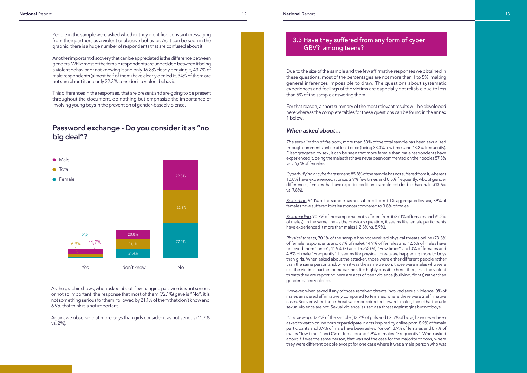People in the sample were asked whether they identified constant messaging from their partners as a violent or abusive behavior. As it can be seen in the graphic, there is a huge number of respondents that are confused about it.

Another important discovery that can be appreciated is the difference between genders. While most of the female respondents are undecided between it being a violent behavior or not knowing it and only 16.8% clearly denying it, 43.7% of male respondents (almost half of them) have clearly denied it, 34% of them are not sure about it and only 22.3% consider it a violent behavior.

This differences in the responses, that are present and are going to be present throughout the document, do nothing but emphasize the importance of involving young boys in the prevention of gender-based violence.

# Password exchange - Do you consider it as "no big deal"?

As the graphic shows, when asked about if exchanging passwords is not serious or not so important, the response that most of them (72.1%) gave is "No", it is not something serious for them, followed by 21.1% of them that don't know and 6.9% that think it is not important.

Again, we observe that more boys than girls consider it as not serious (11.7% vs. 2%).

Due to the size of the sample and the few affirmative responses we obtained in these questions, most of the percentages are not more than 1 to 5%, making general inferences impossible to draw. The questions about systematic experiences and feelings of the victims are especially not reliable due to less than 5% of the sample answering them.

For that reason, a short summary of the most relevant results will be developed here whereas the complete tables for these questions can be found in the annex 1 below.

#### *When asked about…*

*The sexualization of the body*, more than 50% of the total sample has been sexualized through comments online at least once (being 33,3% few times and 13,2% frequently). Disaggregated by sex, it can be seen that more female than male respondents have experienced it, being the males that have never been commented on their bodies 57,3% vs. 36,6% of females.

*Cyberbullying or cyberharassment*, 85.8% of the sample has not suffered from it, whereas 10.8% have experienced it once, 2.9% few times and 0.5% frequently. About gender differences, females that have experienced it once are almost double than males (13.6% vs. 7.8%).

*Sextortion*, 94,1% of the sample has not suffered from it. Disaggregated by sex, 7.9% of females have suffered it (at least once) compared to 3.8% of males.

*Sexpreading*, 90.7% of the sample has not suffered from it (87.1% of females and 94.2% of males). In the same line as the previous question, it seems like female participants have experienced it more than males (12.8% vs. 5.9%).

*Physical threats*, 70.1% of the sample has not received physical threats online (73.3% of female respondents and 67% of male). 14.9% of females and 12.6% of males have received them "once", 11.9% (F) and 15.5% (M) "Few times" and 0% of females and 4.9% of male "Frequently". It seems like physical threats are happening more to boys than girls. When asked about the attacker, those were either different people rather than the same person and, when it was the same person, those were males who were not the victim's partner or ex-partner. It is highly possible here, then, that the violent threats they are reporting here are acts of peer violence (bullying, fights) rather than gender-based violence.

However, when asked if any of those received threats involved sexual violence, 0% of males answered affirmatively compared to females, where there were 2 affirmative cases. So even when those threats are more directed towards males, those that include sexual violence are not. Sexual violence is used as a threat against girls but not boys.

*Porn viewing*, 82.4% of the sample (82.2% of girls and 82.5% of boys) have never been asked to watch online porn or participate in acts inspired by online porn. 8.9% of female participants and 3.9% of male have been asked "once", 8.9% of females and 8.7% of males "few times" and 0% of females and 4.9% of males "Frequently". When asked about if it was the same person, that was not the case for the majority of boys, where they were different people except for one case where it was a male person who was



# 3.3 Have they suffered from any form of cyber GBV? among teens?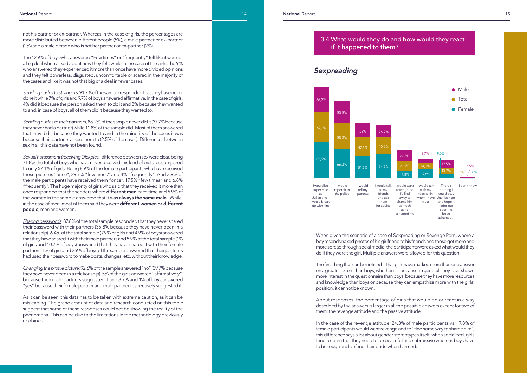not his partner or ex-partner. Whereas in the case of girls, the percentages are more distributed between different people (5%), a male partner or ex-partner (2%) and a male person who is not her partner or ex-partner (2%).

The 12.9% of boys who answered "Few times" or "frequently" felt like it was not a big deal when asked about how they felt, while in the case of the girls, the 9% who answered they experienced it more than once have more divided opinions and they felt powerless, disgusted, uncomfortable or scared in the majority of the cases and like it was not that big of a deal in fewer cases.

*Sending nudes to strangers*, 91.7% of the sample responded that they have never done it while 7% of girls and 9.7% of boys answered affirmative. In the case of girls, 4% did it because the person asked them to do it and 3% because they wanted to and, in case of boys, all of them did it because they wanted to.

*Sending nudes to their partners*, 88.2% of the sample never did it (37.7% because they never had a partner) while 11.8% of the sample did. Most of them answered that they did it because they wanted to and in the minority of the cases it was because their partners asked them to (2.5% of the cases). Differences between sex in all this data have not been found.

*Sexual harassment (receiving Dickpics)*: difference between sex were clear, being 71.8% the total of boys who have never received this kind of pictures compared to only 57.4% of girls. Being 8.9% of the female participants who have received these pictures "once", 29.7% "few times" and 4% "frequently". And 3.9% of the male participants have received them "once", 17.5% "few times" and 6.8% "frequently". The huge majority of girls who said that they received it more than once responded that the senders where different men each time and 5.9% of the women in the sample answered that it was always the same male. While, in the case of men, most of them said they were different women or different people, men and women.

*Sharing passwords*: 87.8% of the total sample responded that they never shared their password with their partners (35.8% because they have never been in a relationship). 6.4% of the total sample (7.9% of girls and 4.9% of boys) answered that they have shared it with their male partners and 5.9% of the total sample (1% of girls and 10.7% of boys) answered that they have shared it with their female partners. 1% of girls and 2.9% of boys of the sample answered that their partners had used their password to make posts, changes, etc. without their knowledge.

Changing the profile picture: 92.6% of the sample answered "no" (39.7% because they have never been in a relationship). 5% of the girls answered "affirmatively", because their male partners suggested it and 8.7% and 1% of boys answered "yes" because their female partner and male partner respectively suggested it.

As it can be seen, this data has to be taken with extreme caution, as it can be misleading. The grand amount of data and research conducted on this topic suggest that some of these responses could not be showing the reality of the phenomena. This can be due to the limitations in the methodology previously explained.

When given the scenario of a case of Sexpreading or Revenge Porn, where a boy resends naked photos of his girlfriend to his friends and those get more and more spread through social media, the participants were asked what would they do if they were the girl. Multiple answers were allowed for this question.

The first thing that can be noticed is that girls have marked more than one answer on a greater extent than boys, whether it is because, in general, they have shown more interest in the questionnaire than boys, because they have more resources and knowledge than boys or because they can empathize more with the girls' position, it cannot be known.

About responses, the percentage of girls that would do or react in a way described by the answers is larger in all the possible answers except for two of them: the revenge attitude and the passive attitude.

In the case of the revenge attitude, 24.3% of male participants vs. 17.8% of female participants would want revenge and to "find some way to shame him", this difference says a lot about gender stereotypes itself: when socialized, girls tend to learn that they need to be peaceful and submissive whereas boys have to be tough and defend their pride when harmed.

# *Sexpreading*

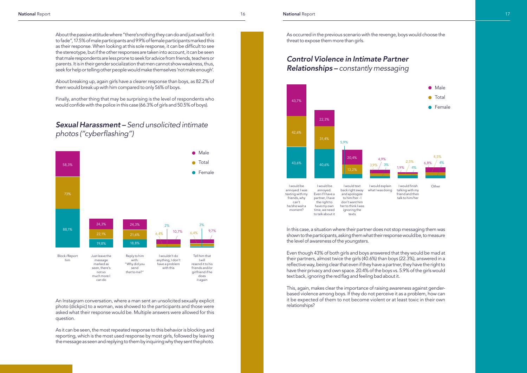As occurred in the previous scenario with the revenge, boys would choose the threat to expose them more than girls.

About the passive attitude where "there's nothing they can do and just wait for it to fade", 17.5% of male participants and 9.9% of female participants marked this as their response. When looking at this sole response, it can be difficult to see the stereotype, but if the other responses are taken into account, it can be seen that male respondents are less prone to seek for advice from friends, teachers or parents. It is in their gender socialization that men cannot show weakness, thus, seek for help or telling other people would make themselves 'not male enough'.

About breaking up, again girls have a clearer response than boys, as 82.2% of them would break up with him compared to only 56% of boys.

Finally, another thing that may be surprising is the level of respondents who would confide with the police in this case (66.3% of girls and 50.5% of boys).

# *Sexual Harassment – Send unsolicited intimate*  photos ("cyberflashing")

An Instagram conversation, where a man sent an unsolicited sexually explicit photo (dickpic) to a woman, was showed to the participants and those were asked what their response would be. Multiple answers were allowed for this question.

As it can be seen, the most repeated response to this behavior is blocking and reporting, which is the most used response by most girls, followed by leaving the message as seen and replying to them by inquiring why they sent the photo.

# *Control Violence in Intimate Partner Relationships – constantly messaging*

In this case, a situation where their partner does not stop messaging them was shown to the participants, asking them what their response would be, to measure the level of awareness of the youngsters.



Even though 43% of both girls and boys answered that they would be mad at their partners, almost twice the girls (40.6%) than boys (22.3%), answered in a reflective way, being clear that even if they have a partner, they have the right to have their privacy and own space. 20.4% of the boys vs. 5.9% of the girls would text back, ignoring the red flag and feeling bad about it.

This, again, makes clear the importance of raising awareness against genderbased violence among boys. If they do not perceive it as a problem, how can it be expected of them to not become violent or at least toxic in their own relationships?



 $6.8\%$   $4\%$ 4,5%



 I would finish talking with my friend and then talk to him/her

**Other** 

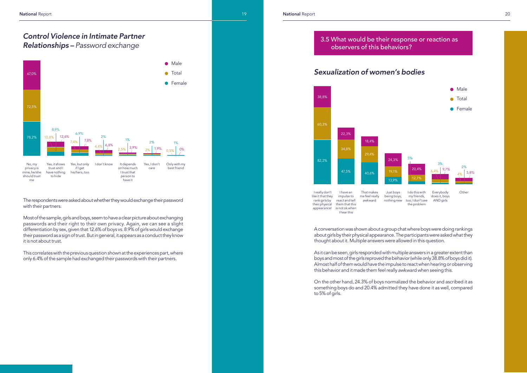The respondents were asked about whether they would exchange their password with their partners.

Most of the sample, girls and boys, seem to have a clear picture about exchanging passwords and their right to their own privacy. Again, we can see a slight differentiation by sex, given that 12.6% of boys vs. 8.9% of girls would exchange their password as a sign of trust. But in general, it appears as a conduct they know it is not about trust.

This correlates with the previous question shown at the experiences part, where only 6.4% of the sample had exchanged their passwords with their partners.

A conversation was shown about a group chat where boys were doing rankings about girls by their physical appearance. The participants were asked what they thought about it. Multiple answers were allowed in this question.

As it can be seen, girls responded with multiple answers in a greater extent than boys and most of the girls reproved the behavior (while only 38.8% of boys did it). Almost half of them would have the impulse to react when hearing or observing this behavior and it made them feel really awkward when seeing this.

On the other hand, 24.3% of boys normalized the behavior and ascribed it as something boys do and 20.4% admitted they have done it as well, compared to 5% of girls.

# *Control Violence in Intimate Partner Relationships – Password exchange*



 I really don't like it that they rank girls by their physical appearance! react and tell them that this is not ok when

impulse to

I hear this



me feel really awkward being boys, nothing new

I do this with my friends, too, I don't see the problem

Everybody does it, boys AND girls

**Other**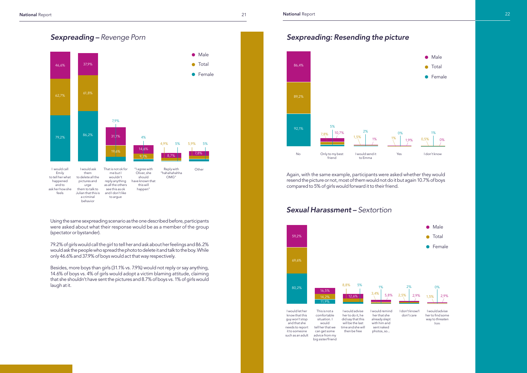Using the same sexpreading scenario as the one described before, participants were asked about what their response would be as a member of the group (spectator or bystander).

79.2% of girls would call the girl to tell her and ask about her feelings and 86.2% would ask the people who spread the photo to delete it and talk to the boy. While only 46.6% and 37.9% of boys would act that way respectively.

Besides, more boys than girls (31.1% vs. 7.9%) would not reply or say anything, 14.6% of boys vs. 4% of girls would adopt a victim blaming attitude, claiming that she shouldn't have sent the pictures and 8.7% of boys vs. 1% of girls would laugh at it.



Again, with the same example, participants were asked whether they would resend the picture or not, most of them would not do it but again 10.7% of boys compared to 5% of girls would forward it to their friend.

# *Sexpreading: Resending the picture*







Yes I don't know

**•** Male

# *Sexual Harassment – Sextortion*





 I don't know/I don't care



I would advise her to find some way to threaten him





**•** Female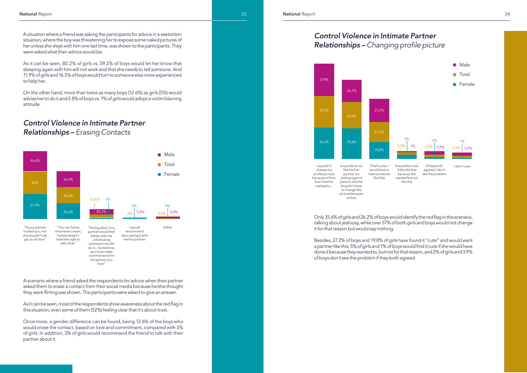A scenario where a friend asked the respondents for advice when their partner asked them to erase a contact from their social media because he/she thought they were flirting was shown. The participants were asked to give an answer.

As it can be seen, most of the respondents show awareness about the red flag in this situation, even some of them (52%) feeling clear that it's about trust.

Once more, a gender difference can be found, being 12.6% of the boys who would erase the contact, based on love and commitment, compared with 3% of girls. In addition, 3% of girls would recommend the friend to talk with their partner about it.

Only 35.6% of girls and 26.2% of boys would identify the red flag in this scenario, talking about jealousy, while over 37% of both girls and boys would not change it for that reason but would say nothing.

Besides, 27.2% of boys and 19.8% of girls have found it "cute" and would want a partner like this, 5% of girls and 1% of boys would find it cute if she would have done it because they wanted to, but not for that reason, and 2% of girls and 3.9% of boys don't see the problem if they both agreed.

# *Control Violence in Intimate Partner Relationships – Erasing Contacts*

A situation where a friend was asking the participants for advice in a sextortion situation, where the boy was threatening her to expose some naked pictures of her unless she slept with him one last time, was shown to the participants. They were asked what their advice would be.

As it can be seen, 80.2% of girls vs. 59.2% of boys would let her know that sleeping again with him will not work and that she needs to tell someone. And 11.9% of girls and 16.5% of boys would turn to someone else more experienced to help her.

On the other hand, more than twice as many boys (12.6%) as girls (5%) would advise her to do it and 5.8% of boys vs. 1% of girls would adopt a victim blaming attitude.





wanted to... person, she/he shouldn't have to change the picture because of that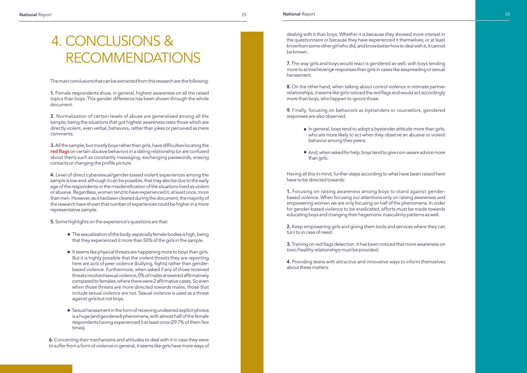The main conclusions that can be extracted from this research are the following:

1. Female respondents show, in general, highest awareness on all the raised topics than boys. This gender difference has been shown through the whole document.

2. Normalization of certain levels of abuse are generalized among all the sample; being the situations that got highest awareness rates those which are directly violent, even verbal, behaviors, rather than jokes or perceived as mere comments.

3. All the sample, but mostly boys rather than girls, have difficulties locating the red flags on certain abusive behaviors in a dating relationship (or are confused about them) such as constantly messaging, exchanging passwords, erasing contacts or changing the profile picture.

4. Level of direct cybersexual/gender-based violent experiences among the sample is low and, although it can be possible, that may also be due to the early age of the respondents or the misidentification of the situations lived as violent or abusive. Regardless, women tend to have experienced it, at least once, more than men. However, as it has been cleared during the document, the majority of the research have shown that number of experiences could be higher in a more representative sample.

- The sexualization of the body, especially female bodies is high, being that they experienced it more than 50% of the girls in the sample.
- $\bullet$  It seems like physical threats are happening more to boys than girls. But it is highly possible that the violent threats they are reporting here are acts of peer violence (bullying, fights) rather than genderbased violence. Furthermore, when asked if any of those received threats involved sexual violence, 0% of males answered affirmatively compared to females, where there were 2 affirmative cases. So even when those threats are more directed towards males, those that include sexual violence are not. Sexual violence is used as a threat against girls but not boys. ●●●
- Sexual harassment in the form of receiving undesired explicit photos is a huge (and gendered) phenomena, with almost half of the female respondents having experienced it at least once (29.7% of them few times).

5. Some highlights on the experience's questions are that:

# 4. CONCLUSIONS & RECOMMENDATIONS

- In general, boys tend to adopt a bystander attitude more than girls, who are more likely to act when they observe an abusive or violent behavior among their peers. ●●
- And, when asked for help, boys tend to give non-aware advice more than girls.

6. Concerning their mechanisms and attitudes to deal with it in case they were to suffer from a form of violence in general, it seems like girls have more ways of dealing with it than boys. Whether it is because they showed more interest in the questionnaire or because they have experienced it themselves; or at least know from some other girl who did, and know better how to deal with it, it cannot be known.

7. The way girls and boys would react is gendered as well, with boys tending more to active/revenge responses than girls in cases like sexpreading or sexual harassment.

8. On the other hand, when talking about control violence in intimate partner relationships, it seems like girls noticed the red flags and would act accordingly more than boys, who happen to ignore those.

9. Finally, focusing on behaviors as bystanders or counselors, gendered responses are also observed.

Having all this in mind, further steps according to what have been raised here have to be directed towards:

1. Focusing on raising awareness among boys to stand against genderbased violence. When focusing our attentions only on raising awareness and empowering women we are only focusing on half of the phenomena. In order for gender-based violence to be eradicated, efforts must be made towards educating boys and changing their hegemonic masculinity patterns as well.

2. Keep empowering girls and giving them tools and services where they can turn to in case of need.

3. Training on red flags detection. It has been noticed that more awareness on toxic/healthy relationships must be provided.

4. Providing teens with attractive and innovative ways to inform themselves about these matters.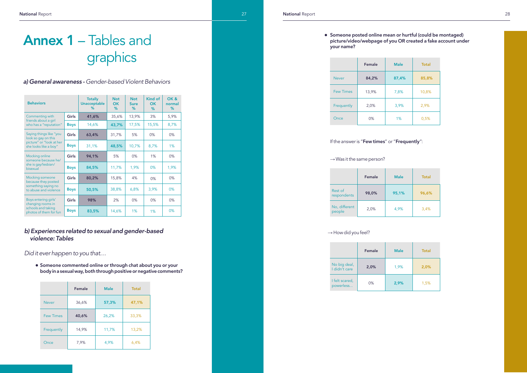## *a) General awareness - Gender-based Violent Behaviors*

Annex 1 – Tables and

graphics

| <b>Behaviors</b>                                                                          |             | <b>Totally</b><br>Unacceptable<br>% | <b>Not</b><br><b>OK</b><br>% | <b>Not</b><br><b>Sure</b><br>% | Kind of<br>OK<br>℅ | OK&<br>normal<br>% |
|-------------------------------------------------------------------------------------------|-------------|-------------------------------------|------------------------------|--------------------------------|--------------------|--------------------|
| Commenting with<br>friends about a girl                                                   | Girls       | 41,6%                               | 35,6%                        | 13,9%                          | 3%                 | 5,9%               |
| who has a "reputation"                                                                    | <b>Boys</b> | 14,6%                               | 43,7%                        | 17,5%                          | 15,5%              | 8,7%               |
| Saying things like "you<br>look so gay on this                                            | Girls       | 63,4%                               | 31,7%                        | 5%                             | $0\%$              | $0\%$              |
| picture" or "look at her<br>she looks like a boy"                                         | <b>Boys</b> | 31,1%                               | 48,5%                        | 10,7%                          | 8,7%               | $1\%$              |
| Mocking online<br>someone because he/                                                     | Girls       | 94,1%                               | 5%                           | $0\%$                          | 1%                 | $0\%$              |
| she is gay/lesbian/<br>bisexual                                                           | <b>Boys</b> | 84,5%                               | 11,7%                        | 1,9%                           | $0\%$              | 1,9%               |
| <b>Mocking someone</b><br>because they posted                                             | Girls       | 80,2%                               | 15,8%                        | 4%                             | $0\%$              | $0\%$              |
| something saying no<br>to abuse and violence                                              | <b>Boys</b> | 50,5%                               | 38,8%                        | 6,8%                           | 3,9%               | $0\%$              |
| Boys entering girls'<br>changing rooms in<br>schools and taking<br>photos of them for fun | Girls       | 98%                                 | 2%                           | $0\%$                          | $0\%$              | $0\%$              |
|                                                                                           | <b>Boys</b> | 83,5%                               | 14,6%                        | $1\%$                          | 1%                 | 0%                 |

● Someone commented online or through chat about you or your body in a sexual way, both through positive or negative comments?

### ● Someone posted online mean or hurtful (could be montaged) picture/video/webpage of you OR created a fake account under your name?

## *b) Experiences related to sexual and gender-based violence: Tables*

*Did it ever happen to you that…* 

|                  | Female | <b>Male</b> | <b>Total</b> |
|------------------|--------|-------------|--------------|
| <b>Never</b>     | 36,6%  | 57,3%       | 47,1%        |
| <b>Few Times</b> | 40,6%  | 26,2%       | 33,3%        |
| Frequently       | 14,9%  | 11,7%       | 13,2%        |
| Once             | 7,9%   | 4,9%        | 6,4%         |

|                  | Female | <b>Male</b> | <b>Total</b> |
|------------------|--------|-------------|--------------|
| <b>Never</b>     | 84,2%  | 87,4%       | 85,8%        |
| <b>Few Times</b> | 13,9%  | 7,8%        | 10,8%        |
| Frequently       | 2,0%   | 3,9%        | 2,9%         |
| Once             | $0\%$  | 1%          | 0,5%         |

### If the answer is "Few times" or "Frequently":

#### $\rightarrow$  Was it the same person?

|                         | Female | <b>Male</b> | Total |
|-------------------------|--------|-------------|-------|
| Rest of<br>respondents  | 98,0%  | 95,1%       | 96,6% |
| No, different<br>people | 2,0%   | 4,9%        | 3,4%  |

#### $\rightarrow$  How did you feel?

|                               | Female | <b>Male</b> | Total |
|-------------------------------|--------|-------------|-------|
| No big deal,<br>I didn't care | 2,0%   | 1,9%        | 2,0%  |
| I felt scared,<br>powerless   | $0\%$  | 2,9%        | 1,5%  |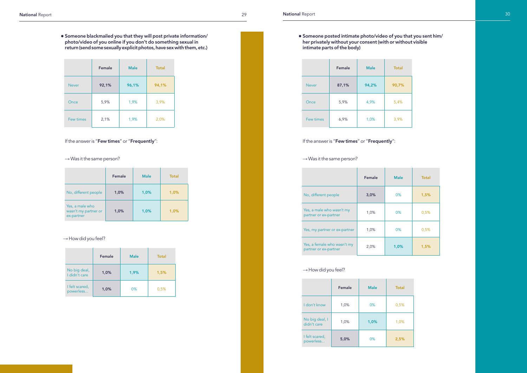Someone blackmailed you that they will post private information/ photo/video of you online if you don't do something sexual in return (send some sexually explicit photos, have sex with them, etc.) ●

|              | Female | <b>Male</b> | <b>Total</b> |
|--------------|--------|-------------|--------------|
| <b>Never</b> | 92,1%  | 96,1%       | 94,1%        |
| Once         | 5,9%   | 1,9%        | 3,9%         |
| Few times    | 2,1%   | 1,9%        | 2,0%         |

### If the answer is "Few times" or "Frequently":

 $\rightarrow$  Was it the same person?

|                                                       | Female | <b>Male</b> | <b>Total</b> |
|-------------------------------------------------------|--------|-------------|--------------|
| No, different people                                  | 1,0%   | 1,0%        | 1,0%         |
| Yes, a male who<br>wasn't my partner or<br>ex-partner | 1,0%   | 1,0%        | 1,0%         |

### $\rightarrow$  How did you feel?

|                               | Female | <b>Male</b> | <b>Total</b> |
|-------------------------------|--------|-------------|--------------|
| No big deal,<br>I didn't care | 1,0%   | 1,9%        | 1,5%         |
| I felt scared,<br>powerless   | 1,0%   | 0%          | 0,5%         |

Someone posted intimate photo/video of you that you sent him/ her privately without your consent (with or without visible intimate parts of the body) ●

|              | Female | <b>Male</b> | <b>Total</b> |
|--------------|--------|-------------|--------------|
| <b>Never</b> | 87,1%  | 94,2%       | 90,7%        |
| Once         | 5,9%   | 4,9%        | 5,4%         |
| Few times    | 6,9%   | 1,0%        | 3,9%         |

### If the answer is "Few times" or "Frequently":

### $\rightarrow$  Was it the same person?

|                                                      | Female | <b>Male</b> | Total |
|------------------------------------------------------|--------|-------------|-------|
| No, different people                                 | 3,0%   | 0%          | 1,5%  |
| Yes, a male who wasn't my<br>partner or ex-partner   | 1,0%   | $0\%$       | 0,5%  |
| Yes, my partner or ex-partner                        | 1,0%   | 0%          | 0,5%  |
| Yes, a female who wasn't my<br>partner or ex-partner | 2,0%   | 1,0%        | 1,5%  |

### $\rightarrow$  How did you feel?

|                               | Female | <b>Male</b> | <b>Total</b> |
|-------------------------------|--------|-------------|--------------|
| I don't know                  | 1,0%   | 0%          | 0,5%         |
| No big deal, I<br>didn't care | 1,0%   | 1,0%        | 1,0%         |
| I felt scared,<br>powerless   | 5,0%   | 0%          | 2,5%         |



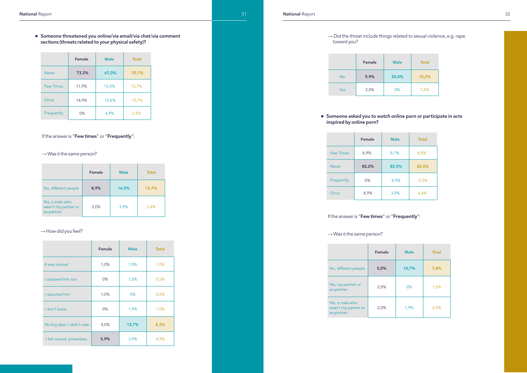### $\rightarrow$  Did the threat include things related to sexual violence, e.g. rape toward you?

● Someone threatened you online/via email/via chat/via comment sections (threats related to your physical safety)?

|           | Female | <b>Male</b> | <b>Total</b> |
|-----------|--------|-------------|--------------|
| <b>No</b> | 9,9%   | 20,4%       | 15,2%        |
| Yes       | 2,0%   | $0\%$       | 1,0%         |

|                  | Female | <b>Male</b> | <b>Total</b> |
|------------------|--------|-------------|--------------|
| <b>Never</b>     | 73,3%  | 67,0%       | 70,1%        |
| <b>Few Times</b> | 11,9%  | 15,5%       | 13,7%        |
| Once             | 14,9%  | 12,6%       | 13,7%        |
| Frequently       | 0%     | 4,9%        | 2,5%         |

## If the answer is "Few times" or "Frequently":

### $\rightarrow$  Was it the same person?

#### ● Someone asked you to watch online porn or participate in acts inspired by online porn?

|                            | Female | <b>Male</b> | <b>Total</b> |
|----------------------------|--------|-------------|--------------|
| It was mutual              | 1,0%   | 1,0%        | 1,0%         |
| I attacked him too         | $0\%$  | 1,0%        | 0,5%         |
| I reported him             | 1,0%   | $0\%$       | 0,5%         |
| I don't know               | $0\%$  | 1,9%        | 1,0%         |
| No big deal, I didn't care | 4,0%   | 12,7%       | 8,3%         |
| I felt scared, powerless   | 5,9%   | 3,9%        | 4,9%         |

|                                                       | Female | <b>Male</b> | <b>Total</b> |
|-------------------------------------------------------|--------|-------------|--------------|
| No, different people                                  | 8,9%   | 16,5%       | 12,7%        |
| Yes, a male who<br>wasn't my partner or<br>ex-partner | 3,0%   | 3,9%        | 3,4%         |

### $\rightarrow$  How did you feel?

|                  | Female | <b>Male</b> | <b>Total</b> |
|------------------|--------|-------------|--------------|
| <b>Few Times</b> | 8,9%   | 8,7%        | 8,8%         |
| <b>Never</b>     | 82,2%  | 82,5%       | 82,4%        |
| Frequently       | $0\%$  | 4,9%        | 2,5%         |
| Once             | 8,9%   | 3,9%        | 6,4%         |

## If the answer is "Few times" or "Frequently":

### $\rightarrow$  Was it the same person?

|                                                       | Female | <b>Male</b> | <b>Total</b> |
|-------------------------------------------------------|--------|-------------|--------------|
| No, different people                                  | 5,0%   | 10,7%       | 7,8%         |
| Yes, my partner or<br>ex-partner                      | 2,0%   | 0%          | 1,0%         |
| Yes, a male who<br>wasn't my partner or<br>ex-partner | 2,0%   | 1,9%        | 2,0%         |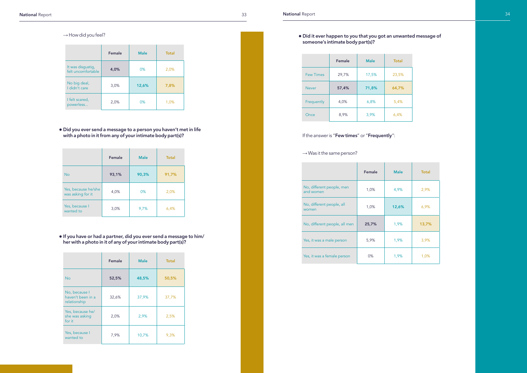|                                         | Female | <b>Male</b> | <b>Total</b> |
|-----------------------------------------|--------|-------------|--------------|
| It was disgustig,<br>felt uncomfortable | 4,0%   | 0%          | 2,0%         |
| No big deal,<br>I didn't care           | 3,0%   | 12,6%       | 7,8%         |
| I felt scared,<br>powerless             | 2,0%   | 0%          | 1,0%         |

Did it ever happen to you that you got an unwanted message of someone's intimate body part(s)? ●

|                                        | Female | <b>Male</b> | <b>Total</b> |
|----------------------------------------|--------|-------------|--------------|
| No, different people, men<br>and women | 1,0%   | 4,9%        | 2,9%         |
| No, different people, all<br>women     | 1,0%   | 12,6%       | 6,9%         |
| No, different people, all men          | 25,7%  | 1,9%        | 13,7%        |
| Yes, it was a male person              | 5,9%   | 1,9%        | 3,9%         |
| Yes, it was a female person            | $0\%$  | 1,9%        | 1,0%         |

Did you ever send a message to a person you haven't met in life with a photo in it from any of your intimate body part(s)? ●

|                                          | Female | <b>Male</b> | <b>Total</b> |
|------------------------------------------|--------|-------------|--------------|
| <b>No</b>                                | 93,1%  | 90,3%       | 91,7%        |
| Yes, because he/she<br>was asking for it | 4,0%   | $0\%$       | 2,0%         |
| Yes, because I<br>wanted to              | 3,0%   | 9,7%        | 6,4%         |

If you have or had a partner, did you ever send a message to him/ her with a photo in it of any of your intimate body part(s)? ●

|                                                    | Female | <b>Male</b> | <b>Total</b> |
|----------------------------------------------------|--------|-------------|--------------|
| <b>No</b>                                          | 52,5%  | 48,5%       | 50,5%        |
| No, because I<br>haven't been in a<br>relationship | 32,6%  | 37,9%       | 37,7%        |
| Yes, because he/<br>she was asking<br>for it       | 2,0%   | 2,9%        | 2,5%         |
| Yes, because I<br>wanted to                        | 7,9%   | 10,7%       | 9,3%         |

|                  | Female | <b>Male</b> | <b>Total</b> |
|------------------|--------|-------------|--------------|
| <b>Few Times</b> | 29,7%  | 17,5%       | 23,5%        |
| <b>Never</b>     | 57,4%  | 71,8%       | 64,7%        |
| Frequently       | 4,0%   | 6,8%        | 5,4%         |
| Once             | 8,9%   | 3,9%        | 6,4%         |

If the answer is "Few times" or "Frequently":

 $\rightarrow$  Was it the same person?